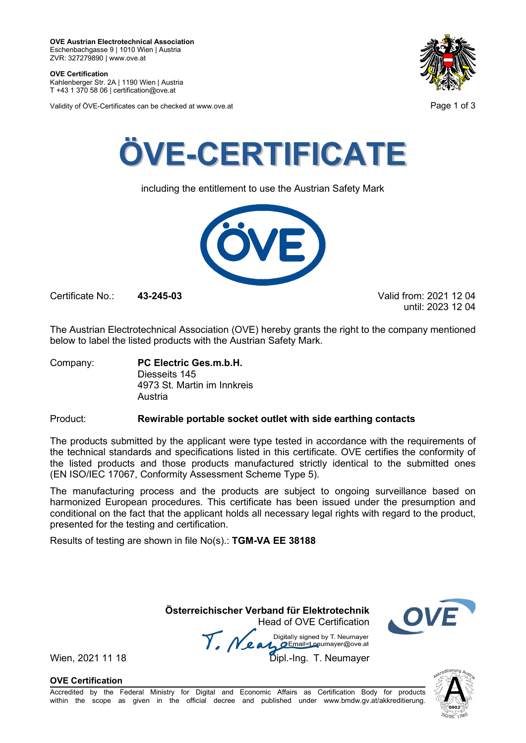**OVE Certification** Kahlenberger Str. 2A | 1190 Wien | Austria

T +43 1 370 58 06 | certification@ove.at

Validity of ÖVE-Certificates can be checked at www.ove.at **Page 1 of 3** Page 1 of 3





including the entitlement to use the Austrian Safety Mark



Certificate No.: **43-245-03** Valid from: 2021 12 04

until: 2023 12 04

The Austrian Electrotechnical Association (OVE) hereby grants the right to the company mentioned below to label the listed products with the Austrian Safety Mark.

Company: **PC Electric Ges.m.b.H.** Diesseits 145 4973 St. Martin im Innkreis Austria

### Product: **Rewirable portable socket outlet with side earthing contacts**

The products submitted by the applicant were type tested in accordance with the requirements of the technical standards and specifications listed in this certificate. OVE certifies the conformity of the listed products and those products manufactured strictly identical to the submitted ones (EN ISO/IEC 17067, Conformity Assessment Scheme Type 5).

The manufacturing process and the products are subject to ongoing surveillance based on harmonized European procedures. This certificate has been issued under the presumption and conditional on the fact that the applicant holds all necessary legal rights with regard to the product, presented for the testing and certification.

Results of testing are shown in file No(s).: **TGM-VA EE 38188**

 **Österreichischer Verband für Elektrotechnik** Head of OVE Certification

Wien, 2021 11 18<br>Wien, 2021 11 18 Dipl.-Ing. T. Neumayer



**OVE Certification**

Accredited by the Federal Ministry for Digital and Economic Affairs as Certification Body for products within the scope as given in the official decree and published under www.bmdw.gv.at/akkreditierung.

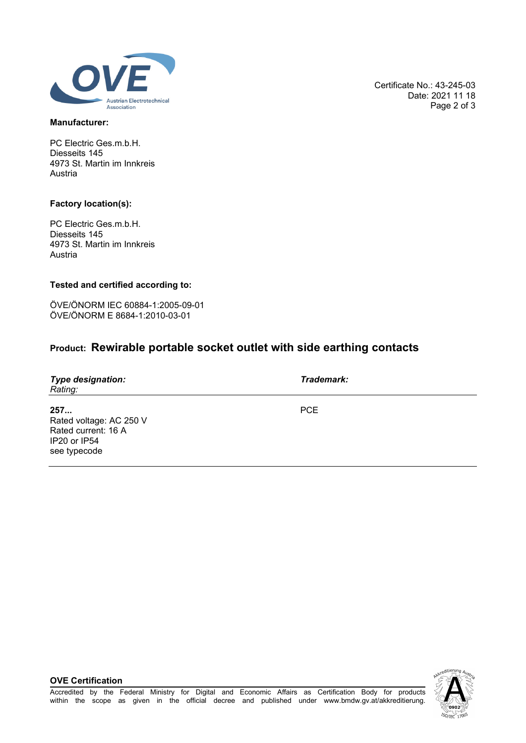

#### **Manufacturer:**

PC Electric Ges.m.b.H. Diesseits 145 4973 St. Martin im Innkreis Austria

### **Factory location(s):**

PC Electric Ges.m.b.H. Diesseits 145 4973 St. Martin im Innkreis Austria

### **Tested and certified according to:**

ÖVE/ÖNORM IEC 60884-1:2005-09-01 ÖVE/ÖNORM E 8684-1:2010-03-01

# **Product: Rewirable portable socket outlet with side earthing contacts**

| <b>Type designation:</b><br>Rating:                                                   | Trademark: |
|---------------------------------------------------------------------------------------|------------|
| 257<br>Rated voltage: AC 250 V<br>Rated current: 16 A<br>IP20 or IP54<br>see typecode | <b>PCE</b> |

### **OVE Certification**



Certificate No.: 43-245-03 Date: 2021 11 18 Page 2 of 3